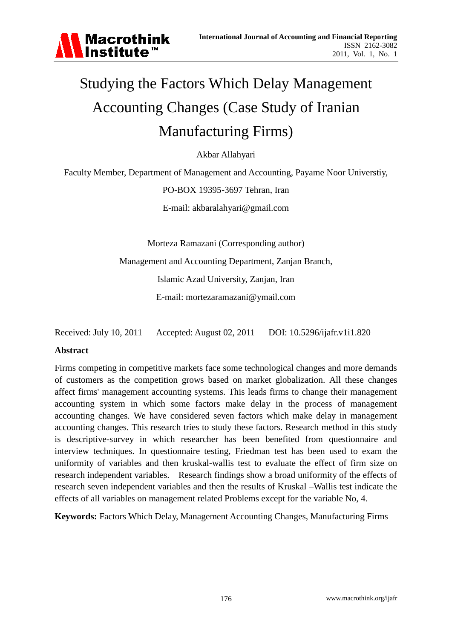

# Studying the Factors Which Delay Management Accounting Changes (Case Study of Iranian Manufacturing Firms)

Akbar Allahyari

Faculty Member, Department of Management and Accounting, Payame Noor Universtiy,

PO-BOX 19395-3697 Tehran, Iran

E-mail: akbaralahyari@gmail.com

Morteza Ramazani (Corresponding author)

Management and Accounting Department, Zanjan Branch, Islamic Azad University, Zanjan, Iran E-mail: mortezaramazani@ymail.com

Received: July 10, 2011 Accepted: August 02, 2011 DOI: 10.5296/ijafr.v1i1.820

#### **Abstract**

Firms competing in competitive markets face some technological changes and more demands of customers as the competition grows based on market globalization. All these changes affect firms' management accounting systems. This leads firms to change their management accounting system in which some factors make delay in the process of management accounting changes. We have considered seven factors which make delay in management accounting changes. This research tries to study these factors. Research method in this study is descriptive-survey in which researcher has been benefited from questionnaire and interview techniques. In questionnaire testing, Friedman test has been used to exam the uniformity of variables and then kruskal-wallis test to evaluate the effect of firm size on research independent variables. Research findings show a broad uniformity of the effects of research seven independent variables and then the results of Kruskal –Wallis test indicate the effects of all variables on management related Problems except for the variable No, 4.

**Keywords:** Factors Which Delay, Management Accounting Changes, Manufacturing Firms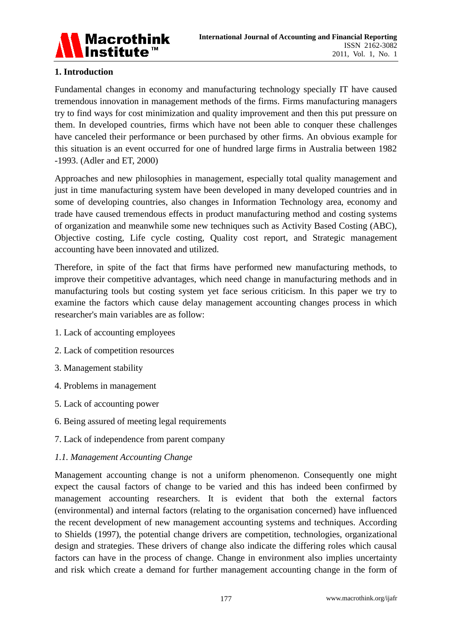

# **1. Introduction**

Fundamental changes in economy and manufacturing technology specially IT have caused tremendous innovation in management methods of the firms. Firms manufacturing managers try to find ways for cost minimization and quality improvement and then this put pressure on them. In developed countries, firms which have not been able to conquer these challenges have canceled their performance or been purchased by other firms. An obvious example for this situation is an event occurred for one of hundred large firms in Australia between 1982 -1993. (Adler and ET, 2000)

Approaches and new philosophies in management, especially total quality management and just in time manufacturing system have been developed in many developed countries and in some of developing countries, also changes in Information Technology area, economy and trade have caused tremendous effects in product manufacturing method and costing systems of organization and meanwhile some new techniques such as Activity Based Costing (ABC), Objective costing, Life cycle costing, Quality cost report, and Strategic management accounting have been innovated and utilized.

Therefore, in spite of the fact that firms have performed new manufacturing methods, to improve their competitive advantages, which need change in manufacturing methods and in manufacturing tools but costing system yet face serious criticism. In this paper we try to examine the factors which cause delay management accounting changes process in which researcher's main variables are as follow:

- 1. Lack of accounting employees
- 2. Lack of competition resources
- 3. Management stability
- 4. Problems in management
- 5. Lack of accounting power
- 6. Being assured of meeting legal requirements
- 7. Lack of independence from parent company
- *1.1. Management Accounting Change*

Management accounting change is not a uniform phenomenon. Consequently one might expect the causal factors of change to be varied and this has indeed been confirmed by management accounting researchers. It is evident that both the external factors (environmental) and internal factors (relating to the organisation concerned) have influenced the recent development of new management accounting systems and techniques. According to Shields (1997), the potential change drivers are competition, technologies, organizational design and strategies. These drivers of change also indicate the differing roles which causal factors can have in the process of change. Change in environment also implies uncertainty and risk which create a demand for further management accounting change in the form of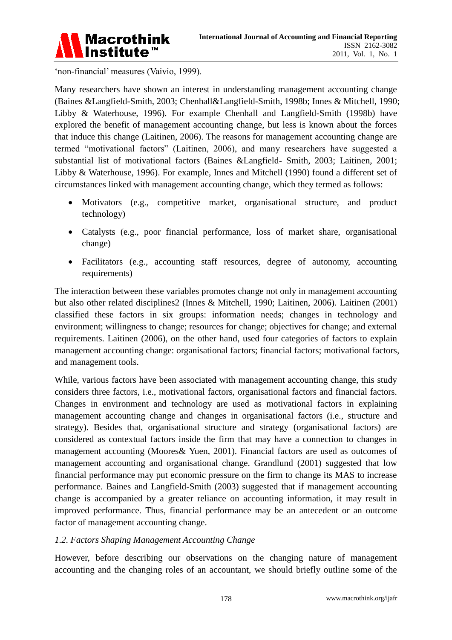

'non-financial' measures (Vaivio, 1999).

Many researchers have shown an interest in understanding management accounting change (Baines &Langfield-Smith, 2003; Chenhall&Langfield-Smith, 1998b; Innes & Mitchell, 1990; Libby & Waterhouse, 1996). For example Chenhall and Langfield-Smith (1998b) have explored the benefit of management accounting change, but less is known about the forces that induce this change (Laitinen, 2006). The reasons for management accounting change are termed "motivational factors" (Laitinen, 2006), and many researchers have suggested a substantial list of motivational factors (Baines &Langfield- Smith, 2003; Laitinen, 2001; Libby & Waterhouse, 1996). For example, Innes and Mitchell (1990) found a different set of circumstances linked with management accounting change, which they termed as follows:

- Motivators (e.g., competitive market, organisational structure, and product technology)
- Catalysts (e.g., poor financial performance, loss of market share, organisational change)
- Facilitators (e.g., accounting staff resources, degree of autonomy, accounting requirements)

The interaction between these variables promotes change not only in management accounting but also other related disciplines2 (Innes & Mitchell, 1990; Laitinen, 2006). Laitinen (2001) classified these factors in six groups: information needs; changes in technology and environment; willingness to change; resources for change; objectives for change; and external requirements. Laitinen (2006), on the other hand, used four categories of factors to explain management accounting change: organisational factors; financial factors; motivational factors, and management tools.

While, various factors have been associated with management accounting change, this study considers three factors, i.e., motivational factors, organisational factors and financial factors. Changes in environment and technology are used as motivational factors in explaining management accounting change and changes in organisational factors (i.e., structure and strategy). Besides that, organisational structure and strategy (organisational factors) are considered as contextual factors inside the firm that may have a connection to changes in management accounting (Moores& Yuen, 2001). Financial factors are used as outcomes of management accounting and organisational change. Grandlund (2001) suggested that low financial performance may put economic pressure on the firm to change its MAS to increase performance. Baines and Langfield-Smith (2003) suggested that if management accounting change is accompanied by a greater reliance on accounting information, it may result in improved performance. Thus, financial performance may be an antecedent or an outcome factor of management accounting change.

# *1.2. Factors Shaping Management Accounting Change*

However, before describing our observations on the changing nature of management accounting and the changing roles of an accountant, we should briefly outline some of the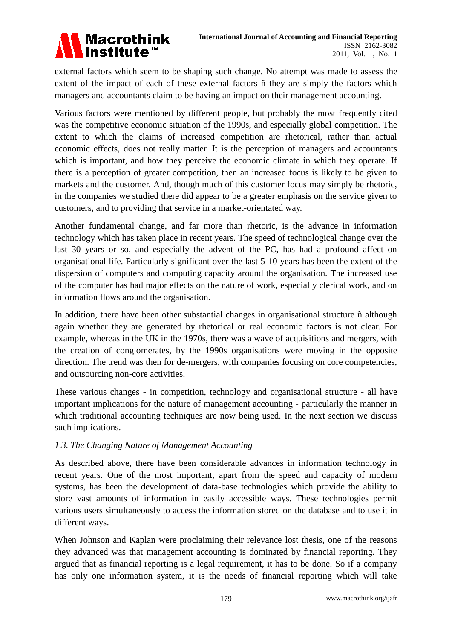

external factors which seem to be shaping such change. No attempt was made to assess the extent of the impact of each of these external factors ñ they are simply the factors which managers and accountants claim to be having an impact on their management accounting.

Various factors were mentioned by different people, but probably the most frequently cited was the competitive economic situation of the 1990s, and especially global competition. The extent to which the claims of increased competition are rhetorical, rather than actual economic effects, does not really matter. It is the perception of managers and accountants which is important, and how they perceive the economic climate in which they operate. If there is a perception of greater competition, then an increased focus is likely to be given to markets and the customer. And, though much of this customer focus may simply be rhetoric, in the companies we studied there did appear to be a greater emphasis on the service given to customers, and to providing that service in a market-orientated way.

Another fundamental change, and far more than rhetoric, is the advance in information technology which has taken place in recent years. The speed of technological change over the last 30 years or so, and especially the advent of the PC, has had a profound affect on organisational life. Particularly significant over the last 5-10 years has been the extent of the dispersion of computers and computing capacity around the organisation. The increased use of the computer has had major effects on the nature of work, especially clerical work, and on information flows around the organisation.

In addition, there have been other substantial changes in organisational structure ñ although again whether they are generated by rhetorical or real economic factors is not clear. For example, whereas in the UK in the 1970s, there was a wave of acquisitions and mergers, with the creation of conglomerates, by the 1990s organisations were moving in the opposite direction. The trend was then for de-mergers, with companies focusing on core competencies, and outsourcing non-core activities.

These various changes - in competition, technology and organisational structure - all have important implications for the nature of management accounting - particularly the manner in which traditional accounting techniques are now being used. In the next section we discuss such implications.

## *1.3. The Changing Nature of Management Accounting*

As described above, there have been considerable advances in information technology in recent years. One of the most important, apart from the speed and capacity of modern systems, has been the development of data-base technologies which provide the ability to store vast amounts of information in easily accessible ways. These technologies permit various users simultaneously to access the information stored on the database and to use it in different ways.

When Johnson and Kaplan were proclaiming their relevance lost thesis, one of the reasons they advanced was that management accounting is dominated by financial reporting. They argued that as financial reporting is a legal requirement, it has to be done. So if a company has only one information system, it is the needs of financial reporting which will take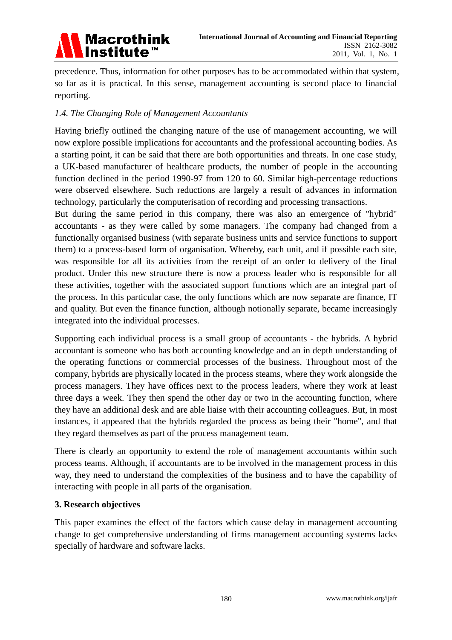

precedence. Thus, information for other purposes has to be accommodated within that system, so far as it is practical. In this sense, management accounting is second place to financial reporting.

## *1.4. The Changing Role of Management Accountants*

Having briefly outlined the changing nature of the use of management accounting, we will now explore possible implications for accountants and the professional accounting bodies. As a starting point, it can be said that there are both opportunities and threats. In one case study, a UK-based manufacturer of healthcare products, the number of people in the accounting function declined in the period 1990-97 from 120 to 60. Similar high-percentage reductions were observed elsewhere. Such reductions are largely a result of advances in information technology, particularly the computerisation of recording and processing transactions.

But during the same period in this company, there was also an emergence of "hybrid" accountants - as they were called by some managers. The company had changed from a functionally organised business (with separate business units and service functions to support them) to a process-based form of organisation. Whereby, each unit, and if possible each site, was responsible for all its activities from the receipt of an order to delivery of the final product. Under this new structure there is now a process leader who is responsible for all these activities, together with the associated support functions which are an integral part of the process. In this particular case, the only functions which are now separate are finance, IT and quality. But even the finance function, although notionally separate, became increasingly integrated into the individual processes.

Supporting each individual process is a small group of accountants - the hybrids. A hybrid accountant is someone who has both accounting knowledge and an in depth understanding of the operating functions or commercial processes of the business. Throughout most of the company, hybrids are physically located in the process steams, where they work alongside the process managers. They have offices next to the process leaders, where they work at least three days a week. They then spend the other day or two in the accounting function, where they have an additional desk and are able liaise with their accounting colleagues. But, in most instances, it appeared that the hybrids regarded the process as being their "home", and that they regard themselves as part of the process management team.

There is clearly an opportunity to extend the role of management accountants within such process teams. Although, if accountants are to be involved in the management process in this way, they need to understand the complexities of the business and to have the capability of interacting with people in all parts of the organisation.

#### **3. Research objectives**

This paper examines the effect of the factors which cause delay in management accounting change to get comprehensive understanding of firms management accounting systems lacks specially of hardware and software lacks.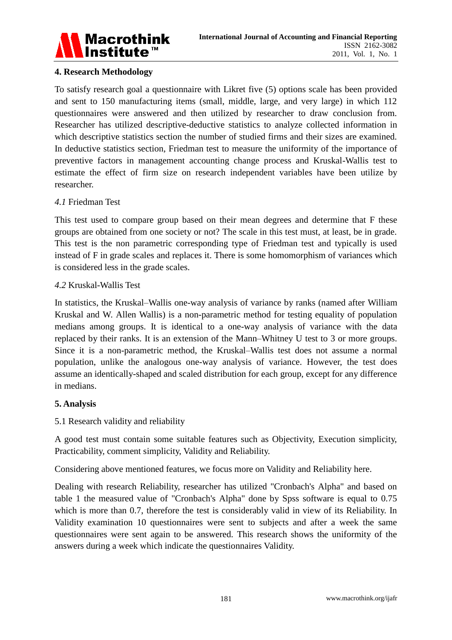

# **4. Research Methodology**

To satisfy research goal a questionnaire with Likret five (5) options scale has been provided and sent to 150 manufacturing items (small, middle, large, and very large) in which 112 questionnaires were answered and then utilized by researcher to draw conclusion from. Researcher has utilized descriptive-deductive statistics to analyze collected information in which descriptive statistics section the number of studied firms and their sizes are examined. In deductive statistics section, Friedman test to measure the uniformity of the importance of preventive factors in management accounting change process and Kruskal-Wallis test to estimate the effect of firm size on research independent variables have been utilize by researcher.

## *4.1* Friedman Test

This test used to compare group based on their mean degrees and determine that F these groups are obtained from one society or not? The scale in this test must, at least, be in grade. This test is the non parametric corresponding type of Friedman test and typically is used instead of F in grade scales and replaces it. There is some homomorphism of variances which is considered less in the grade scales.

#### *4.2* Kruskal-Wallis Test

In statistics, the Kruskal–Wallis one-way analysis of variance by ranks (named after William Kruskal and W. Allen Wallis) is a non-parametric method for testing equality of population medians among groups. It is identical to a one-way analysis of variance with the data replaced by their ranks. It is an extension of the Mann–Whitney U test to 3 or more groups. Since it is a non-parametric method, the Kruskal–Wallis test does not assume a normal population, unlike the analogous one-way analysis of variance. However, the test does assume an identically-shaped and scaled distribution for each group, except for any difference in medians.

#### **5. Analysis**

## 5.1 Research validity and reliability

A good test must contain some suitable features such as Objectivity, Execution simplicity, Practicability, comment simplicity, Validity and Reliability.

Considering above mentioned features, we focus more on Validity and Reliability here.

Dealing with research Reliability, researcher has utilized "Cronbach's Alpha" and based on table 1 the measured value of "Cronbach's Alpha" done by Spss software is equal to 0.75 which is more than 0.7, therefore the test is considerably valid in view of its Reliability. In Validity examination 10 questionnaires were sent to subjects and after a week the same questionnaires were sent again to be answered. This research shows the uniformity of the answers during a week which indicate the questionnaires Validity.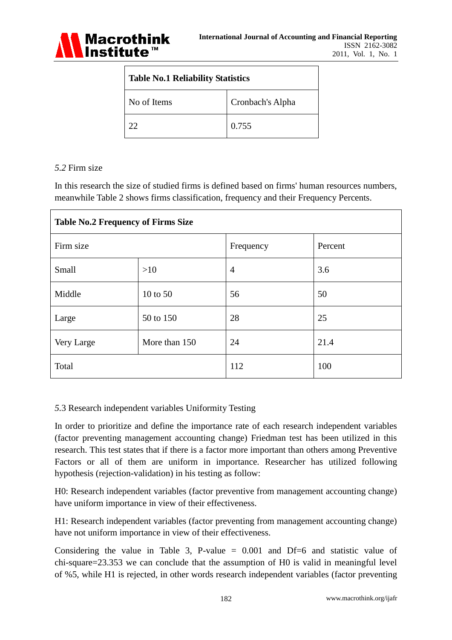

| <b>Table No.1 Reliability Statistics</b> |                  |  |  |
|------------------------------------------|------------------|--|--|
| No of Items                              | Cronbach's Alpha |  |  |
| つつ                                       | 0.755            |  |  |

## *5.2* Firm size

In this research the size of studied firms is defined based on firms' human resources numbers, meanwhile Table 2 shows firms classification, frequency and their Frequency Percents.

| <b>Table No.2 Frequency of Firms Size</b> |               |                |         |  |  |
|-------------------------------------------|---------------|----------------|---------|--|--|
| Firm size                                 |               | Frequency      | Percent |  |  |
| Small                                     | >10           | $\overline{4}$ | 3.6     |  |  |
| Middle                                    | 10 to 50      | 56             | 50      |  |  |
| Large                                     | 50 to 150     | 28             | 25      |  |  |
| Very Large                                | More than 150 | 24             | 21.4    |  |  |
| Total                                     |               | 112            | 100     |  |  |

## *5.*3 Research independent variables Uniformity Testing

In order to prioritize and define the importance rate of each research independent variables (factor preventing management accounting change) Friedman test has been utilized in this research. This test states that if there is a factor more important than others among Preventive Factors or all of them are uniform in importance. Researcher has utilized following hypothesis (rejection-validation) in his testing as follow:

H0: Research independent variables (factor preventive from management accounting change) have uniform importance in view of their effectiveness.

H1: Research independent variables (factor preventing from management accounting change) have not uniform importance in view of their effectiveness.

Considering the value in Table 3, P-value  $= 0.001$  and Df=6 and statistic value of chi-square=23.353 we can conclude that the assumption of H0 is valid in meaningful level of %5, while H1 is rejected, in other words research independent variables (factor preventing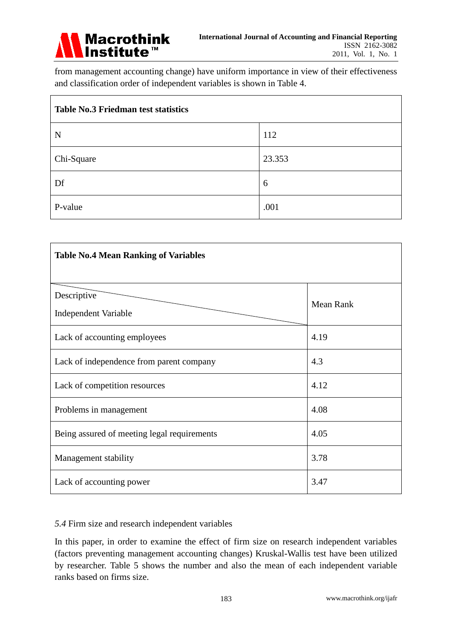

from management accounting change) have uniform importance in view of their effectiveness and classification order of independent variables is shown in Table 4.

| <b>Table No.3 Friedman test statistics</b> |        |  |  |
|--------------------------------------------|--------|--|--|
| N                                          | 112    |  |  |
| Chi-Square                                 | 23.353 |  |  |
| Df                                         | 6      |  |  |
| P-value                                    | .001   |  |  |

| <b>Table No.4 Mean Ranking of Variables</b> |           |
|---------------------------------------------|-----------|
| Descriptive<br><b>Independent Variable</b>  | Mean Rank |
| Lack of accounting employees                | 4.19      |
| Lack of independence from parent company    | 4.3       |
| Lack of competition resources               | 4.12      |
| Problems in management                      | 4.08      |
| Being assured of meeting legal requirements | 4.05      |
| Management stability                        | 3.78      |
| Lack of accounting power                    | 3.47      |

#### *5.4* Firm size and research independent variables

In this paper, in order to examine the effect of firm size on research independent variables (factors preventing management accounting changes) Kruskal-Wallis test have been utilized by researcher. Table 5 shows the number and also the mean of each independent variable ranks based on firms size.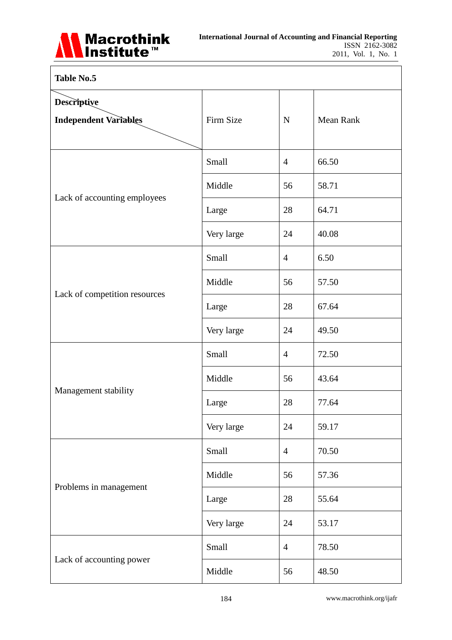

 $\overline{\phantom{a}}$ 

| <b>Table No.5</b>                                  |            |                |                  |  |  |
|----------------------------------------------------|------------|----------------|------------------|--|--|
| <b>Descriptive</b><br><b>Independent Variables</b> | Firm Size  | N              | <b>Mean Rank</b> |  |  |
|                                                    | Small      | $\overline{4}$ | 66.50            |  |  |
|                                                    | Middle     | 56             | 58.71            |  |  |
| Lack of accounting employees                       | Large      | 28             | 64.71            |  |  |
|                                                    | Very large | 24             | 40.08            |  |  |
|                                                    | Small      | $\overline{4}$ | 6.50             |  |  |
|                                                    | Middle     | 56             | 57.50            |  |  |
| Lack of competition resources                      | Large      | 28             | 67.64            |  |  |
|                                                    | Very large | 24             | 49.50            |  |  |
| Management stability                               | Small      | $\overline{4}$ | 72.50            |  |  |
|                                                    | Middle     | 56             | 43.64            |  |  |
|                                                    | Large      | 28             | 77.64            |  |  |
|                                                    | Very large | 24             | 59.17            |  |  |
|                                                    | Small      | $\overline{4}$ | 70.50            |  |  |
| Problems in management                             | Middle     | 56             | 57.36            |  |  |
|                                                    | Large      | 28             | 55.64            |  |  |
|                                                    | Very large | 24             | 53.17            |  |  |
| Lack of accounting power                           | Small      | $\overline{4}$ | 78.50            |  |  |
|                                                    | Middle     | 56             | 48.50            |  |  |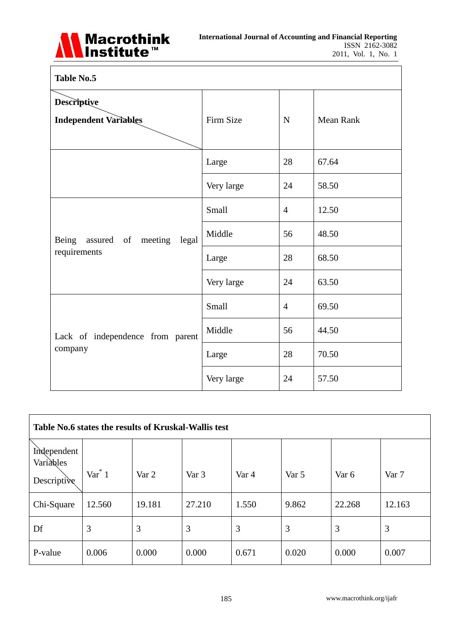

| <b>Table No.5</b>                                    |            |                |           |  |  |
|------------------------------------------------------|------------|----------------|-----------|--|--|
| <b>Descriptive</b><br><b>Independent Variables</b>   | Firm Size  | N              | Mean Rank |  |  |
|                                                      | Large      | 28             | 67.64     |  |  |
|                                                      | Very large | 24             | 58.50     |  |  |
| Being<br>assured of<br>meeting legal<br>requirements | Small      | $\overline{4}$ | 12.50     |  |  |
|                                                      | Middle     | 56             | 48.50     |  |  |
|                                                      | Large      | 28             | 68.50     |  |  |
|                                                      | Very large | 24             | 63.50     |  |  |
| Lack of independence from parent<br>company          | Small      | $\overline{4}$ | 69.50     |  |  |
|                                                      | Middle     | 56             | 44.50     |  |  |
|                                                      | Large      | 28             | 70.50     |  |  |
|                                                      | Very large | 24             | 57.50     |  |  |

| Table No.6 states the results of Kruskal-Wallis test |           |        |        |       |       |        |        |
|------------------------------------------------------|-----------|--------|--------|-------|-------|--------|--------|
| Independent<br>Variables<br>Descriptive              | $Var^*$ 1 | Var 2  | Var 3  | Var 4 | Var 5 | Var 6  | Var 7  |
| Chi-Square                                           | 12.560    | 19.181 | 27.210 | 1.550 | 9.862 | 22.268 | 12.163 |
| Df                                                   | 3         | 3      | 3      | 3     | 3     | 3      | 3      |
| P-value                                              | 0.006     | 0.000  | 0.000  | 0.671 | 0.020 | 0.000  | 0.007  |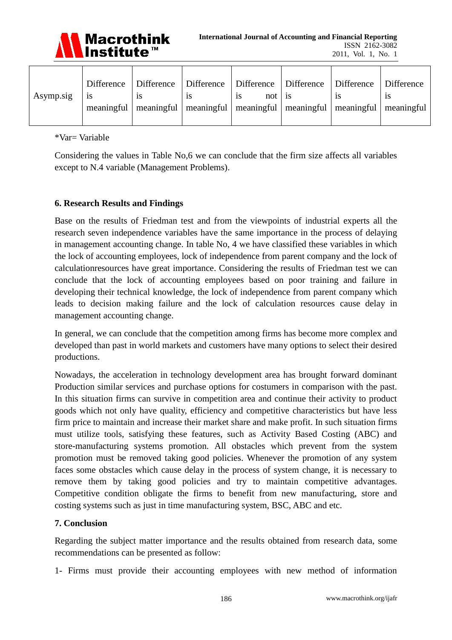

|           | Difference |  | Difference Difference Difference Difference Difference                                   |  | Difference |
|-----------|------------|--|------------------------------------------------------------------------------------------|--|------------|
| Asymp.sig |            |  | not l                                                                                    |  |            |
|           |            |  | meaningful   meaningful   meaningful   meaningful   meaningful   meaningful   meaningful |  |            |
|           |            |  |                                                                                          |  |            |

\*Var= Variable

Considering the values in Table No,6 we can conclude that the firm size affects all variables except to N.4 variable (Management Problems).

# **6. Research Results and Findings**

Base on the results of Friedman test and from the viewpoints of industrial experts all the research seven independence variables have the same importance in the process of delaying in management accounting change. In table No, 4 we have classified these variables in which the lock of accounting employees, lock of independence from parent company and the lock of calculationresources have great importance. Considering the results of Friedman test we can conclude that the lock of accounting employees based on poor training and failure in developing their technical knowledge, the lock of independence from parent company which leads to decision making failure and the lock of calculation resources cause delay in management accounting change.

In general, we can conclude that the competition among firms has become more complex and developed than past in world markets and customers have many options to select their desired productions.

Nowadays, the acceleration in technology development area has brought forward dominant Production similar services and purchase options for costumers in comparison with the past. In this situation firms can survive in competition area and continue their activity to product goods which not only have quality, efficiency and competitive characteristics but have less firm price to maintain and increase their market share and make profit. In such situation firms must utilize tools, satisfying these features, such as Activity Based Costing (ABC) and store-manufacturing systems promotion. All obstacles which prevent from the system promotion must be removed taking good policies. Whenever the promotion of any system faces some obstacles which cause delay in the process of system change, it is necessary to remove them by taking good policies and try to maintain competitive advantages. Competitive condition obligate the firms to benefit from new manufacturing, store and costing systems such as just in time manufacturing system, BSC, ABC and etc.

## **7. Conclusion**

Regarding the subject matter importance and the results obtained from research data, some recommendations can be presented as follow:

1- Firms must provide their accounting employees with new method of information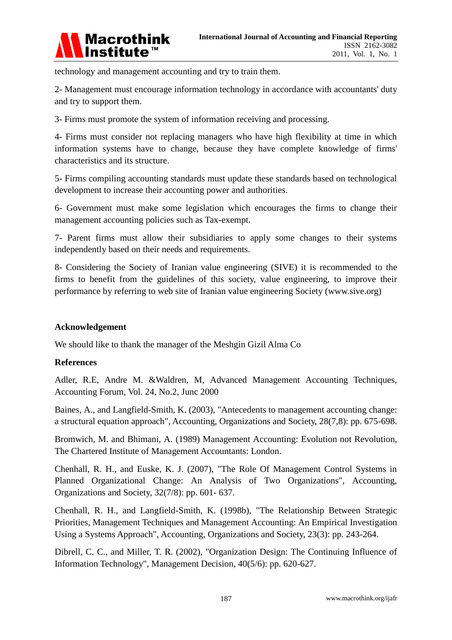

technology and management accounting and try to train them.

2- Management must encourage information technology in accordance with accountants' duty and try to support them.

3- Firms must promote the system of information receiving and processing.

4- Firms must consider not replacing managers who have high flexibility at time in which information systems have to change, because they have complete knowledge of firms' characteristics and its structure.

5- Firms compiling accounting standards must update these standards based on technological development to increase their accounting power and authorities.

6- Government must make some legislation which encourages the firms to change their management accounting policies such as Tax-exempt.

7- Parent firms must allow their subsidiaries to apply some changes to their systems independently based on their needs and requirements.

8- Considering the Society of Iranian value engineering (SIVE) it is recommended to the firms to benefit from the guidelines of this society, value engineering, to improve their performance by referring to web site of Iranian value engineering Society (www.sive.org)

## **Acknowledgement**

We should like to thank the manager of the Meshgin Gizil Alma Co

#### **References**

Adler, R.E, Andre M. &Waldren, M, Advanced Management Accounting Techniques, Accounting Forum, Vol. 24, No.2, Junc 2000

Baines, A., and Langfield-Smith, K. (2003), "Antecedents to management accounting change: a structural equation approach", Accounting, Organizations and Society, 28(7,8): pp. 675-698.

Bromwich, M. and Bhimani, A. (1989) Management Accounting: Evolution not Revolution, The Chartered Institute of Management Accountants: London.

Chenhall, R. H., and Euske, K. J. (2007), "The Role Of Management Control Systems in Planned Organizational Change: An Analysis of Two Organizations", Accounting, Organizations and Society, 32(7/8): pp. 601- 637.

Chenhall, R. H., and Langfield-Smith, K. (1998b), "The Relationship Between Strategic Priorities, Management Techniques and Management Accounting: An Empirical Investigation Using a Systems Approach", Accounting, Organizations and Society, 23(3): pp. 243-264.

Dibrell, C. C., and Miller, T. R. (2002), "Organization Design: The Continuing Influence of Information Technology", Management Decision, 40(5/6): pp. 620-627.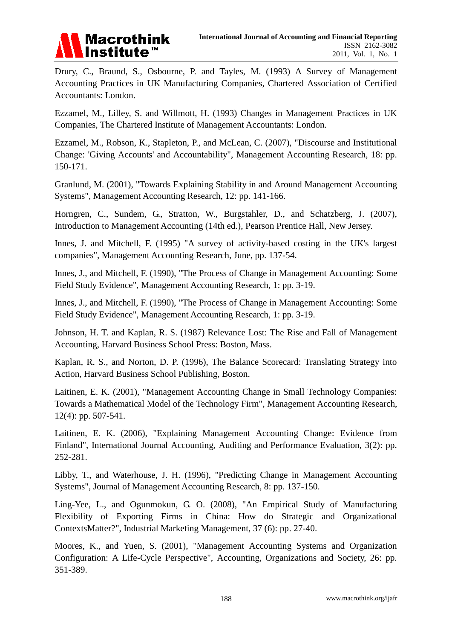

Drury, C., Braund, S., Osbourne, P. and Tayles, M. (1993) A Survey of Management Accounting Practices in UK Manufacturing Companies, Chartered Association of Certified Accountants: London.

Ezzamel, M., Lilley, S. and Willmott, H. (1993) Changes in Management Practices in UK Companies, The Chartered Institute of Management Accountants: London.

Ezzamel, M., Robson, K., Stapleton, P., and McLean, C. (2007), "Discourse and Institutional Change: 'Giving Accounts' and Accountability", Management Accounting Research, 18: pp. 150-171.

Granlund, M. (2001), "Towards Explaining Stability in and Around Management Accounting Systems", Management Accounting Research, 12: pp. 141-166.

Horngren, C., Sundem, G., Stratton, W., Burgstahler, D., and Schatzberg, J. (2007), Introduction to Management Accounting (14th ed.), Pearson Prentice Hall, New Jersey.

Innes, J. and Mitchell, F. (1995) "A survey of activity-based costing in the UK's largest companies", Management Accounting Research, June, pp. 137-54.

Innes, J., and Mitchell, F. (1990), "The Process of Change in Management Accounting: Some Field Study Evidence", Management Accounting Research, 1: pp. 3-19.

Innes, J., and Mitchell, F. (1990), "The Process of Change in Management Accounting: Some Field Study Evidence", Management Accounting Research, 1: pp. 3-19.

Johnson, H. T. and Kaplan, R. S. (1987) Relevance Lost: The Rise and Fall of Management Accounting, Harvard Business School Press: Boston, Mass.

Kaplan, R. S., and Norton, D. P. (1996), The Balance Scorecard: Translating Strategy into Action, Harvard Business School Publishing, Boston.

Laitinen, E. K. (2001), "Management Accounting Change in Small Technology Companies: Towards a Mathematical Model of the Technology Firm", Management Accounting Research, 12(4): pp. 507-541.

Laitinen, E. K. (2006), "Explaining Management Accounting Change: Evidence from Finland", International Journal Accounting, Auditing and Performance Evaluation, 3(2): pp. 252-281.

Libby, T., and Waterhouse, J. H. (1996), "Predicting Change in Management Accounting Systems", Journal of Management Accounting Research, 8: pp. 137-150.

Ling-Yee, L., and Ogunmokun, G. O. (2008), "An Empirical Study of Manufacturing Flexibility of Exporting Firms in China: How do Strategic and Organizational ContextsMatter?", Industrial Marketing Management, 37 (6): pp. 27-40.

Moores, K., and Yuen, S. (2001), "Management Accounting Systems and Organization Configuration: A Life-Cycle Perspective", Accounting, Organizations and Society, 26: pp. 351-389.